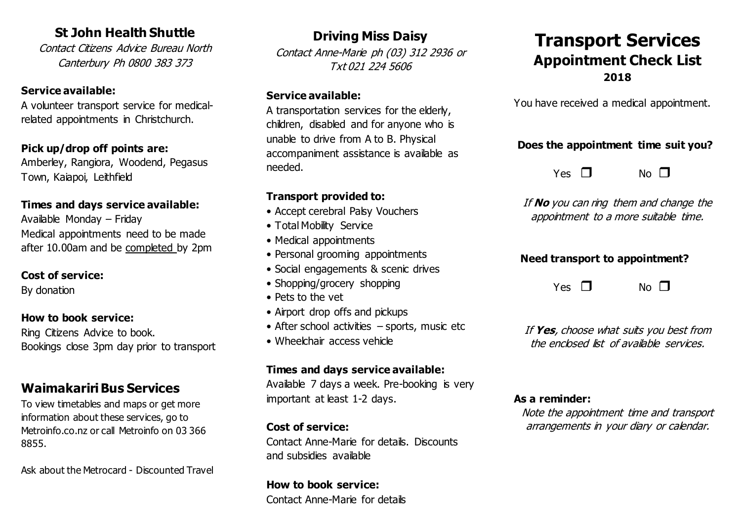# **St John Health Shuttle**

Contact Citizens Advice Bureau North Canterbury Ph 0800 383 373

## **Service available:**

A volunteer transport service for medicalrelated appointments in Christchurch.

#### **Pick up/drop off points are:**

Amberley, Rangiora, Woodend, Pegasus Town, Kaiapoi, Leithfield

#### **Times and days service available:**

Available Monday – Friday Medical appointments need to be made after 10.00am and be completed by 2pm

#### **Cost of service:**

By donation

#### **How to book service:**

Ring Citizens Advice to book. Bookings close 3pm day prior to transport

# **Waimakariri Bus Services**

To view timetables and maps or get more information about these services, go to Metroinfo.co.nz or call Metroinfo on 03 366 8855.

Ask about the Metrocard - Discounted Travel

**Driving Miss Daisy** Contact Anne-Marie ph (03) 312 2936 or

Txt 021 224 5606

#### **Service available:**

A transportation services for the elderly, children, disabled and for anyone who is unable to drive from A to B. Physical accompaniment assistance is available as needed.

# **Transport provided to:**

- Accept cerebral Palsy Vouchers
- Total Mobility Service
- Medical appointments
- Personal grooming appointments
- Social engagements & scenic drives
- Shopping/grocery shopping
- Pets to the vet
- Airport drop offs and pickups
- After school activities sports, music etc
- Wheelchair access vehicle

# **Times and days service available:**

Available 7 days a week. Pre-booking is very important at least 1-2 days.

## **Cost of service:**

Contact Anne-Marie for details. Discounts and subsidies available

**How to book service:** Contact Anne-Marie for details

# **Transport Services Appointment Check List 2018**

You have received a medical appointment.

# **Does the appointment time suit you?**

 $Yes \n\begin{bmatrix} \n\end{bmatrix}$  No  $\P$ 

If **No** you can ring them and change the appointment to a more suitable time.

# **Need transport to appointment?**

 $Yes \tN$  No  $\P$ 

If **Yes**, choose what suits you best from the enclosed list of available services.

#### **As a reminder:**

Note the appointment time and transport arrangements in your diary or calendar.